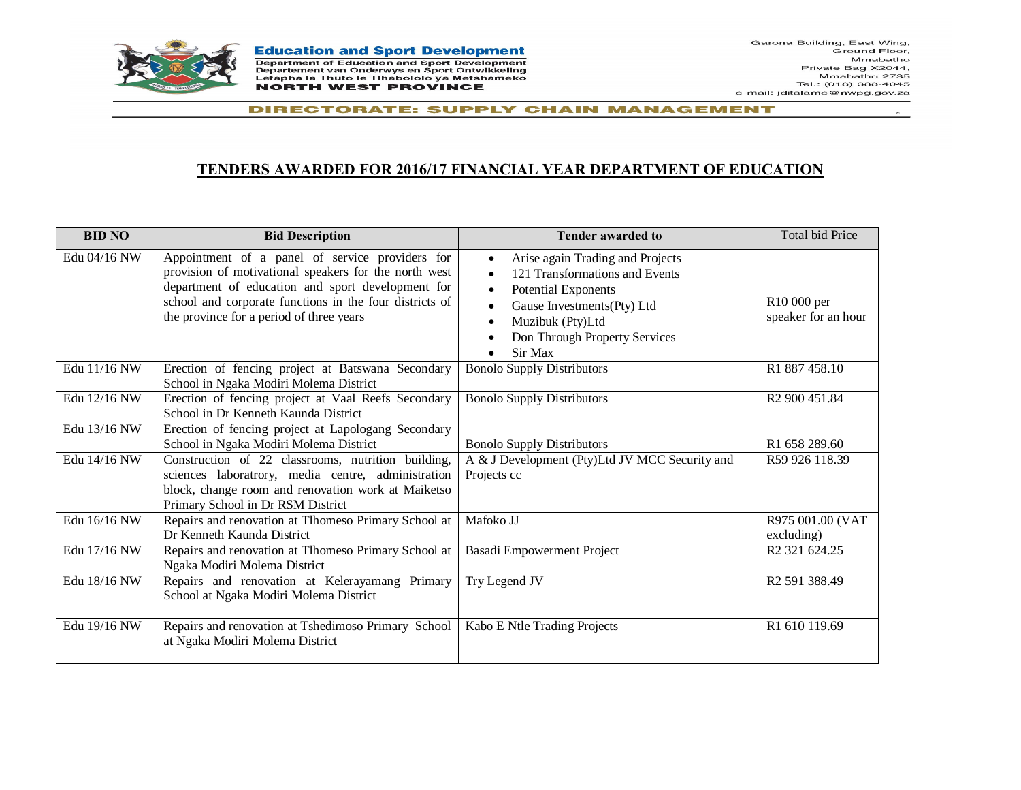

**Education and Sport Development** Department of Education and Sport Development Departement van Onderwys en Sport Ontwikkeling Lefapha la Thuto le Tihabololo ya Metshameko **NORTH WEST PROVINCE** 

 $\mathbf{z}$ 

DIRECTORATE: SUPPLY CHAIN MANAGEMENT

## **TENDERS AWARDED FOR 2016/17 FINANCIAL YEAR DEPARTMENT OF EDUCATION**

| <b>BID NO</b> | <b>Bid Description</b>                                                                                                                                                                                                                                               | <b>Tender awarded to</b>                                                                                                                                                                                                                                                     | Total bid Price                    |
|---------------|----------------------------------------------------------------------------------------------------------------------------------------------------------------------------------------------------------------------------------------------------------------------|------------------------------------------------------------------------------------------------------------------------------------------------------------------------------------------------------------------------------------------------------------------------------|------------------------------------|
| Edu 04/16 NW  | Appointment of a panel of service providers for<br>provision of motivational speakers for the north west<br>department of education and sport development for<br>school and corporate functions in the four districts of<br>the province for a period of three years | Arise again Trading and Projects<br>$\bullet$<br>121 Transformations and Events<br>$\bullet$<br><b>Potential Exponents</b><br>$\bullet$<br>Gause Investments(Pty) Ltd<br>$\bullet$<br>Muzibuk (Pty)Ltd<br>$\bullet$<br>Don Through Property Services<br>$\bullet$<br>Sir Max | R10 000 per<br>speaker for an hour |
| Edu 11/16 NW  | Erection of fencing project at Batswana Secondary<br>School in Ngaka Modiri Molema District                                                                                                                                                                          | <b>Bonolo Supply Distributors</b>                                                                                                                                                                                                                                            | R <sub>1</sub> 887458.10           |
| Edu 12/16 NW  | Erection of fencing project at Vaal Reefs Secondary<br>School in Dr Kenneth Kaunda District                                                                                                                                                                          | <b>Bonolo Supply Distributors</b>                                                                                                                                                                                                                                            | R <sub>2</sub> 900 451.84          |
| Edu 13/16 NW  | Erection of fencing project at Lapologang Secondary<br>School in Ngaka Modiri Molema District                                                                                                                                                                        | <b>Bonolo Supply Distributors</b>                                                                                                                                                                                                                                            | R1 658 289.60                      |
| Edu 14/16 NW  | Construction of 22 classrooms, nutrition building,<br>sciences laboratrory, media centre, administration<br>block, change room and renovation work at Maiketso<br>Primary School in Dr RSM District                                                                  | A & J Development (Pty)Ltd JV MCC Security and<br>Projects cc                                                                                                                                                                                                                | R59 926 118.39                     |
| Edu 16/16 NW  | Repairs and renovation at Tlhomeso Primary School at<br>Dr Kenneth Kaunda District                                                                                                                                                                                   | Mafoko JJ                                                                                                                                                                                                                                                                    | R975 001.00 (VAT<br>excluding)     |
| Edu 17/16 NW  | Repairs and renovation at Tlhomeso Primary School at<br>Ngaka Modiri Molema District                                                                                                                                                                                 | Basadi Empowerment Project                                                                                                                                                                                                                                                   | R <sub>2</sub> 321 624.25          |
| Edu 18/16 NW  | Repairs and renovation at Kelerayamang Primary<br>School at Ngaka Modiri Molema District                                                                                                                                                                             | Try Legend JV                                                                                                                                                                                                                                                                | R <sub>2</sub> 591 388.49          |
| Edu 19/16 NW  | Repairs and renovation at Tshedimoso Primary School<br>at Ngaka Modiri Molema District                                                                                                                                                                               | Kabo E Ntle Trading Projects                                                                                                                                                                                                                                                 | R1 610 119.69                      |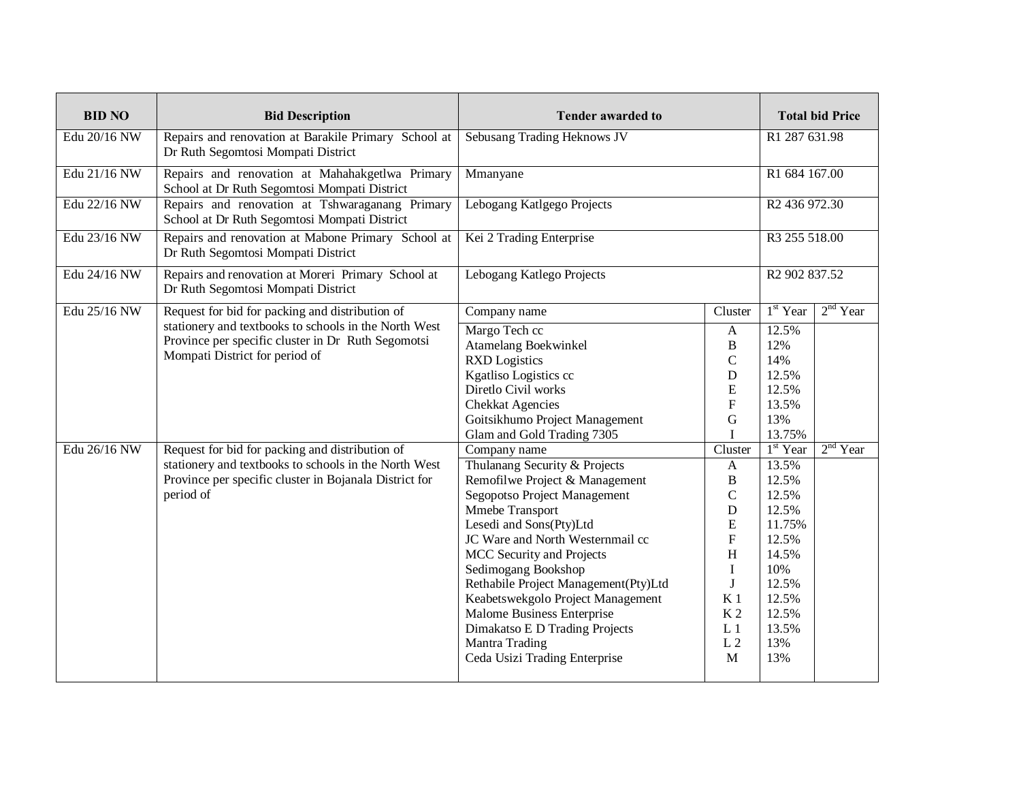| <b>BID NO</b> | <b>Bid Description</b>                                                                                                                                                          | <b>Tender awarded to</b>                                                                                                                                                                                                                                                                                                                                                                                                                              |                                                                                                                                                                                                                     | <b>Total bid Price</b>                                                                                                              |            |
|---------------|---------------------------------------------------------------------------------------------------------------------------------------------------------------------------------|-------------------------------------------------------------------------------------------------------------------------------------------------------------------------------------------------------------------------------------------------------------------------------------------------------------------------------------------------------------------------------------------------------------------------------------------------------|---------------------------------------------------------------------------------------------------------------------------------------------------------------------------------------------------------------------|-------------------------------------------------------------------------------------------------------------------------------------|------------|
| Edu 20/16 NW  | Repairs and renovation at Barakile Primary School at<br>Dr Ruth Segomtosi Mompati District                                                                                      | Sebusang Trading Heknows JV                                                                                                                                                                                                                                                                                                                                                                                                                           |                                                                                                                                                                                                                     | R1 287 631.98                                                                                                                       |            |
| Edu 21/16 NW  | Repairs and renovation at Mahahakgetlwa Primary<br>School at Dr Ruth Segomtosi Mompati District                                                                                 | Mmanyane                                                                                                                                                                                                                                                                                                                                                                                                                                              |                                                                                                                                                                                                                     | R1 684 167.00                                                                                                                       |            |
| Edu 22/16 NW  | Repairs and renovation at Tshwaraganang Primary<br>School at Dr Ruth Segomtosi Mompati District                                                                                 | Lebogang Katlgego Projects                                                                                                                                                                                                                                                                                                                                                                                                                            |                                                                                                                                                                                                                     | R <sub>2</sub> 436 972.30                                                                                                           |            |
| Edu 23/16 NW  | Repairs and renovation at Mabone Primary School at<br>Dr Ruth Segomtosi Mompati District                                                                                        | Kei 2 Trading Enterprise                                                                                                                                                                                                                                                                                                                                                                                                                              |                                                                                                                                                                                                                     | R3 255 518.00                                                                                                                       |            |
| Edu 24/16 NW  | Repairs and renovation at Moreri Primary School at<br>Dr Ruth Segomtosi Mompati District                                                                                        | Lebogang Katlego Projects                                                                                                                                                                                                                                                                                                                                                                                                                             |                                                                                                                                                                                                                     | R <sub>2</sub> 902 837.52                                                                                                           |            |
| Edu 25/16 NW  | Request for bid for packing and distribution of                                                                                                                                 | Company name                                                                                                                                                                                                                                                                                                                                                                                                                                          | Cluster                                                                                                                                                                                                             | $1st$ Year                                                                                                                          | $2nd$ Year |
|               | stationery and textbooks to schools in the North West<br>Province per specific cluster in Dr Ruth Segomotsi<br>Mompati District for period of                                   | Margo Tech cc<br><b>Atamelang Boekwinkel</b><br><b>RXD</b> Logistics<br>Kgatliso Logistics cc<br>Diretlo Civil works<br><b>Chekkat Agencies</b><br>Goitsikhumo Project Management<br>Glam and Gold Trading 7305                                                                                                                                                                                                                                       | $\mathbf{A}$<br>$\, {\bf B}$<br>$\mathbf C$<br>$\mathbf D$<br>E<br>$\mathbf{F}$<br>$\mathbf G$<br>I                                                                                                                 | 12.5%<br>12%<br>14%<br>12.5%<br>12.5%<br>13.5%<br>13%<br>13.75%                                                                     |            |
| Edu 26/16 NW  | Request for bid for packing and distribution of<br>stationery and textbooks to schools in the North West<br>Province per specific cluster in Bojanala District for<br>period of | Company name<br>Thulanang Security & Projects<br>Remofilwe Project & Management<br>Segopotso Project Management<br>Mmebe Transport<br>Lesedi and Sons(Pty)Ltd<br>JC Ware and North Westernmail cc<br>MCC Security and Projects<br>Sedimogang Bookshop<br>Rethabile Project Management(Pty)Ltd<br>Keabetswekgolo Project Management<br>Malome Business Enterprise<br>Dimakatso E D Trading Projects<br>Mantra Trading<br>Ceda Usizi Trading Enterprise | Cluster<br>$\mathbf{A}$<br>$\, {\bf B}$<br>$\mathbf C$<br>$\mathbf D$<br>${\bf E}$<br>$\mathbf{F}$<br>H<br>$\mathbf I$<br>J<br>K <sub>1</sub><br>K <sub>2</sub><br>L <sub>1</sub><br>L <sub>2</sub><br>$\mathbf{M}$ | $1st$ Year<br>13.5%<br>12.5%<br>12.5%<br>12.5%<br>11.75%<br>12.5%<br>14.5%<br>10%<br>12.5%<br>12.5%<br>12.5%<br>13.5%<br>13%<br>13% | $2nd$ Year |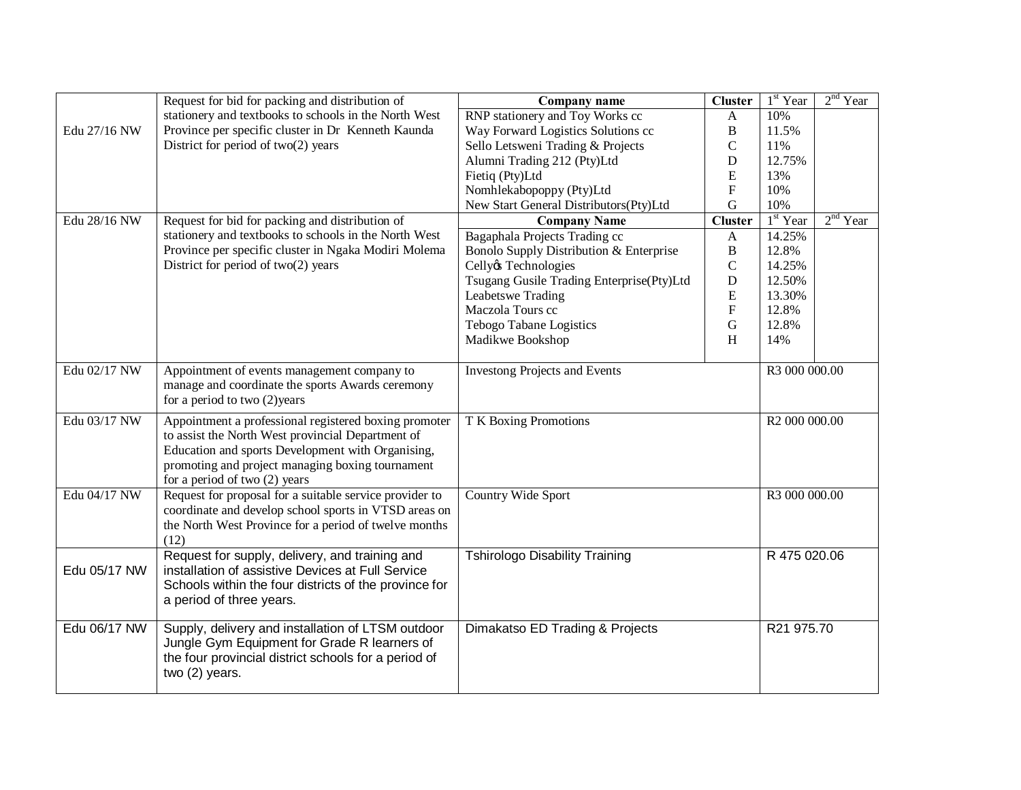|              | Request for bid for packing and distribution of         | Company name                              | <b>Cluster</b>            | $1st$ Year    | $2nd$ Year |
|--------------|---------------------------------------------------------|-------------------------------------------|---------------------------|---------------|------------|
|              | stationery and textbooks to schools in the North West   | RNP stationery and Toy Works cc           | $\mathbf{A}$              | 10%           |            |
| Edu 27/16 NW | Province per specific cluster in Dr Kenneth Kaunda      | Way Forward Logistics Solutions cc        | $\, {\bf B}$              | 11.5%         |            |
|              | District for period of two(2) years                     | Sello Letsweni Trading & Projects         | $\mathcal{C}$             | 11%           |            |
|              |                                                         | Alumni Trading 212 (Pty)Ltd               | D                         | 12.75%        |            |
|              |                                                         | Fietiq (Pty)Ltd                           | E                         | 13%           |            |
|              |                                                         | Nomhlekabopoppy (Pty)Ltd                  | ${\bf F}$                 | 10%           |            |
|              |                                                         | New Start General Distributors(Pty)Ltd    | $\mathbf G$               | 10%           |            |
| Edu 28/16 NW | Request for bid for packing and distribution of         | <b>Company Name</b>                       | <b>Cluster</b>            | $1st$ Year    | $2nd$ Year |
|              | stationery and textbooks to schools in the North West   | Bagaphala Projects Trading cc             | $\mathbf{A}$              | 14.25%        |            |
|              | Province per specific cluster in Ngaka Modiri Molema    | Bonolo Supply Distribution & Enterprise   | $\, {\bf B}$              | 12.8%         |            |
|              | District for period of two(2) years                     | Cellyøs Technologies                      | $\mathbf C$               | 14.25%        |            |
|              |                                                         | Tsugang Gusile Trading Enterprise(Pty)Ltd | D                         | 12.50%        |            |
|              |                                                         | Leabetswe Trading                         | ${\bf E}$                 | 13.30%        |            |
|              |                                                         | Maczola Tours cc                          | $\boldsymbol{\mathrm{F}}$ | 12.8%         |            |
|              |                                                         | Tebogo Tabane Logistics                   | $\mathbf G$               | 12.8%         |            |
|              |                                                         | Madikwe Bookshop                          | H                         | 14%           |            |
|              |                                                         |                                           |                           |               |            |
| Edu 02/17 NW | Appointment of events management company to             | <b>Investong Projects and Events</b>      |                           | R3 000 000.00 |            |
|              | manage and coordinate the sports Awards ceremony        |                                           |                           |               |            |
|              | for a period to two $(2)$ years                         |                                           |                           |               |            |
| Edu 03/17 NW | Appointment a professional registered boxing promoter   | T K Boxing Promotions                     |                           | R2 000 000.00 |            |
|              | to assist the North West provincial Department of       |                                           |                           |               |            |
|              | Education and sports Development with Organising,       |                                           |                           |               |            |
|              | promoting and project managing boxing tournament        |                                           |                           |               |            |
|              | for a period of two $(2)$ years                         |                                           |                           |               |            |
| Edu 04/17 NW | Request for proposal for a suitable service provider to | Country Wide Sport                        |                           | R3 000 000.00 |            |
|              | coordinate and develop school sports in VTSD areas on   |                                           |                           |               |            |
|              | the North West Province for a period of twelve months   |                                           |                           |               |            |
|              | (12)                                                    |                                           |                           |               |            |
|              | Request for supply, delivery, and training and          | <b>Tshirologo Disability Training</b>     |                           | R 475 020.06  |            |
| Edu 05/17 NW | installation of assistive Devices at Full Service       |                                           |                           |               |            |
|              | Schools within the four districts of the province for   |                                           |                           |               |            |
|              | a period of three years.                                |                                           |                           |               |            |
|              |                                                         |                                           |                           |               |            |
| Edu 06/17 NW | Supply, delivery and installation of LTSM outdoor       | Dimakatso ED Trading & Projects           |                           | R21 975.70    |            |
|              | Jungle Gym Equipment for Grade R learners of            |                                           |                           |               |            |
|              | the four provincial district schools for a period of    |                                           |                           |               |            |
|              | two (2) years.                                          |                                           |                           |               |            |
|              |                                                         |                                           |                           |               |            |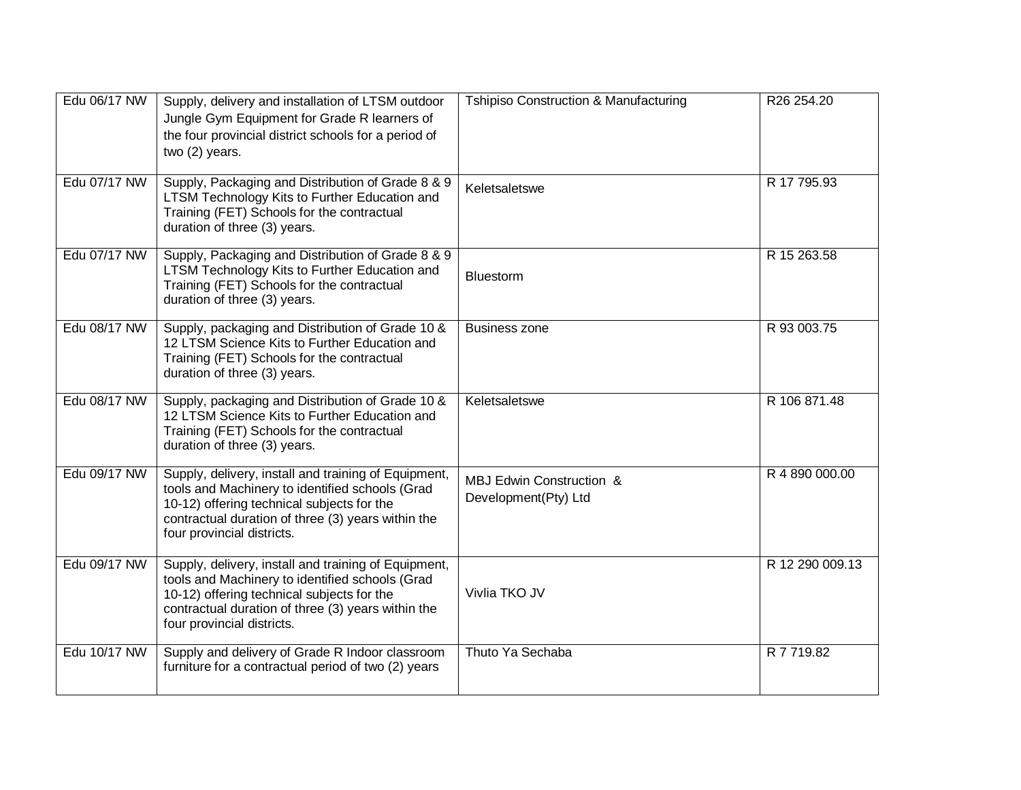| Edu 06/17 NW | Supply, delivery and installation of LTSM outdoor<br>Jungle Gym Equipment for Grade R learners of<br>the four provincial district schools for a period of<br>two (2) years.                                                               | Tshipiso Construction & Manufacturing            | R26 254.20      |
|--------------|-------------------------------------------------------------------------------------------------------------------------------------------------------------------------------------------------------------------------------------------|--------------------------------------------------|-----------------|
| Edu 07/17 NW | Supply, Packaging and Distribution of Grade 8 & 9<br>LTSM Technology Kits to Further Education and<br>Training (FET) Schools for the contractual<br>duration of three (3) years.                                                          | Keletsaletswe                                    | R 17 795.93     |
| Edu 07/17 NW | Supply, Packaging and Distribution of Grade 8 & 9<br>LTSM Technology Kits to Further Education and<br>Training (FET) Schools for the contractual<br>duration of three (3) years.                                                          | Bluestorm                                        | R 15 263.58     |
| Edu 08/17 NW | Supply, packaging and Distribution of Grade 10 &<br>12 LTSM Science Kits to Further Education and<br>Training (FET) Schools for the contractual<br>duration of three (3) years.                                                           | <b>Business zone</b>                             | R 93 003.75     |
| Edu 08/17 NW | Supply, packaging and Distribution of Grade 10 &<br>12 LTSM Science Kits to Further Education and<br>Training (FET) Schools for the contractual<br>duration of three (3) years.                                                           | Keletsaletswe                                    | R 106 871.48    |
| Edu 09/17 NW | Supply, delivery, install and training of Equipment,<br>tools and Machinery to identified schools (Grad<br>10-12) offering technical subjects for the<br>contractual duration of three (3) years within the<br>four provincial districts. | MBJ Edwin Construction &<br>Development(Pty) Ltd | R 4 890 000.00  |
| Edu 09/17 NW | Supply, delivery, install and training of Equipment,<br>tools and Machinery to identified schools (Grad<br>10-12) offering technical subjects for the<br>contractual duration of three (3) years within the<br>four provincial districts. | Vivlia TKO JV                                    | R 12 290 009.13 |
| Edu 10/17 NW | Supply and delivery of Grade R Indoor classroom<br>furniture for a contractual period of two (2) years                                                                                                                                    | Thuto Ya Sechaba                                 | R 7 719.82      |